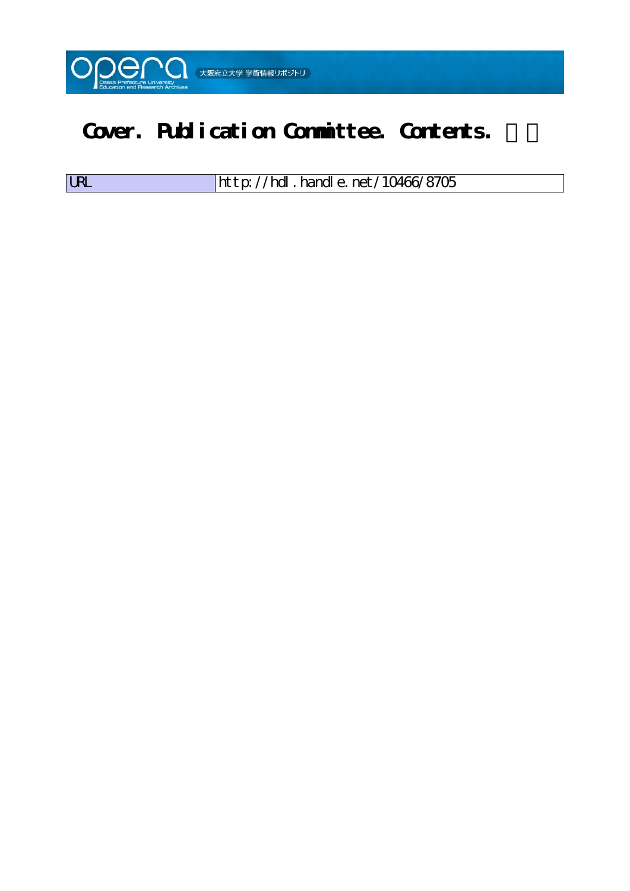

## Cover. Publication Committee. Contents.

| <b>LRL</b> | $\frac{1}{100}$ http://hdl. handle. net/10466/8705 |
|------------|----------------------------------------------------|